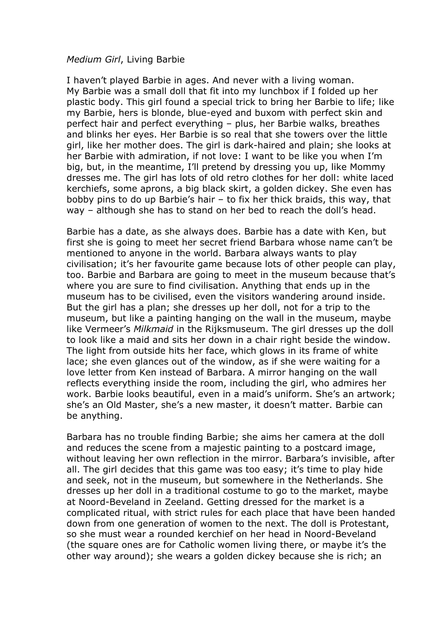## *Medium Girl*, Living Barbie

I haven't played Barbie in ages. And never with a living woman. My Barbie was a small doll that fit into my lunchbox if I folded up her plastic body. This girl found a special trick to bring her Barbie to life; like my Barbie, hers is blonde, blue-eyed and buxom with perfect skin and perfect hair and perfect everything – plus, her Barbie walks, breathes and blinks her eyes. Her Barbie is so real that she towers over the little girl, like her mother does. The girl is dark-haired and plain; she looks at her Barbie with admiration, if not love: I want to be like you when I'm big, but, in the meantime, I'll pretend by dressing you up, like Mommy dresses me. The girl has lots of old retro clothes for her doll: white laced kerchiefs, some aprons, a big black skirt, a golden dickey. She even has bobby pins to do up Barbie's hair – to fix her thick braids, this way, that way – although she has to stand on her bed to reach the doll's head.

Barbie has a date, as she always does. Barbie has a date with Ken, but first she is going to meet her secret friend Barbara whose name can't be mentioned to anyone in the world. Barbara always wants to play civilisation; it's her favourite game because lots of other people can play, too. Barbie and Barbara are going to meet in the museum because that's where you are sure to find civilisation. Anything that ends up in the museum has to be civilised, even the visitors wandering around inside. But the girl has a plan; she dresses up her doll, not for a trip to the museum, but like a painting hanging on the wall in the museum, maybe like Vermeer's *Milkmaid* in the Rijksmuseum. The girl dresses up the doll to look like a maid and sits her down in a chair right beside the window. The light from outside hits her face, which glows in its frame of white lace; she even glances out of the window, as if she were waiting for a love letter from Ken instead of Barbara. A mirror hanging on the wall reflects everything inside the room, including the girl, who admires her work. Barbie looks beautiful, even in a maid's uniform. She's an artwork; she's an Old Master, she's a new master, it doesn't matter. Barbie can be anything.

Barbara has no trouble finding Barbie; she aims her camera at the doll and reduces the scene from a majestic painting to a postcard image, without leaving her own reflection in the mirror. Barbara's invisible, after all. The girl decides that this game was too easy; it's time to play hide and seek, not in the museum, but somewhere in the Netherlands. She dresses up her doll in a traditional costume to go to the market, maybe at Noord-Beveland in Zeeland. Getting dressed for the market is a complicated ritual, with strict rules for each place that have been handed down from one generation of women to the next. The doll is Protestant, so she must wear a rounded kerchief on her head in Noord-Beveland (the square ones are for Catholic women living there, or maybe it's the other way around); she wears a golden dickey because she is rich; an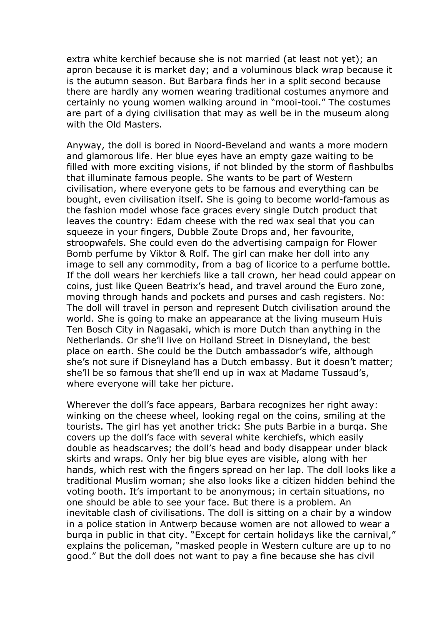extra white kerchief because she is not married (at least not yet); an apron because it is market day; and a voluminous black wrap because it is the autumn season. But Barbara finds her in a split second because there are hardly any women wearing traditional costumes anymore and certainly no young women walking around in "mooi-tooi." The costumes are part of a dying civilisation that may as well be in the museum along with the Old Masters.

Anyway, the doll is bored in Noord-Beveland and wants a more modern and glamorous life. Her blue eyes have an empty gaze waiting to be filled with more exciting visions, if not blinded by the storm of flashbulbs that illuminate famous people. She wants to be part of Western civilisation, where everyone gets to be famous and everything can be bought, even civilisation itself. She is going to become world-famous as the fashion model whose face graces every single Dutch product that leaves the country: Edam cheese with the red wax seal that you can squeeze in your fingers, Dubble Zoute Drops and, her favourite, stroopwafels. She could even do the advertising campaign for Flower Bomb perfume by Viktor & Rolf. The girl can make her doll into any image to sell any commodity, from a bag of licorice to a perfume bottle. If the doll wears her kerchiefs like a tall crown, her head could appear on coins, just like Queen Beatrix's head, and travel around the Euro zone, moving through hands and pockets and purses and cash registers. No: The doll will travel in person and represent Dutch civilisation around the world. She is going to make an appearance at the living museum Huis Ten Bosch City in Nagasaki, which is more Dutch than anything in the Netherlands. Or she'll live on Holland Street in Disneyland, the best place on earth. She could be the Dutch ambassador's wife, although she's not sure if Disneyland has a Dutch embassy. But it doesn't matter; she'll be so famous that she'll end up in wax at Madame Tussaud's, where everyone will take her picture.

Wherever the doll's face appears, Barbara recognizes her right away: winking on the cheese wheel, looking regal on the coins, smiling at the tourists. The girl has yet another trick: She puts Barbie in a burqa. She covers up the doll's face with several white kerchiefs, which easily double as headscarves; the doll's head and body disappear under black skirts and wraps. Only her big blue eyes are visible, along with her hands, which rest with the fingers spread on her lap. The doll looks like a traditional Muslim woman; she also looks like a citizen hidden behind the voting booth. It's important to be anonymous; in certain situations, no one should be able to see your face. But there is a problem. An inevitable clash of civilisations. The doll is sitting on a chair by a window in a police station in Antwerp because women are not allowed to wear a burqa in public in that city. "Except for certain holidays like the carnival," explains the policeman, "masked people in Western culture are up to no good." But the doll does not want to pay a fine because she has civil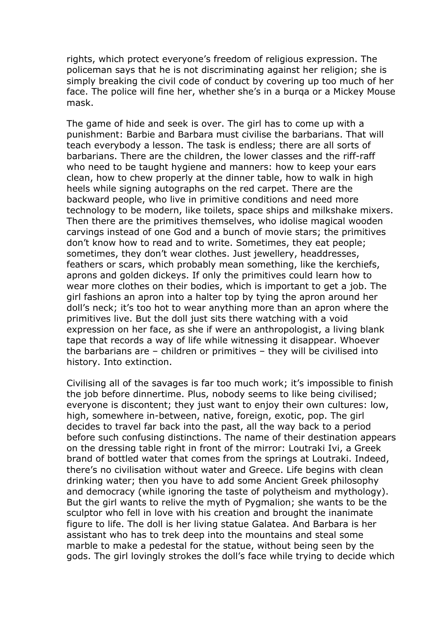rights, which protect everyone's freedom of religious expression. The policeman says that he is not discriminating against her religion; she is simply breaking the civil code of conduct by covering up too much of her face. The police will fine her, whether she's in a burqa or a Mickey Mouse mask.

The game of hide and seek is over. The girl has to come up with a punishment: Barbie and Barbara must civilise the barbarians. That will teach everybody a lesson. The task is endless; there are all sorts of barbarians. There are the children, the lower classes and the riff-raff who need to be taught hygiene and manners: how to keep your ears clean, how to chew properly at the dinner table, how to walk in high heels while signing autographs on the red carpet. There are the backward people, who live in primitive conditions and need more technology to be modern, like toilets, space ships and milkshake mixers. Then there are the primitives themselves, who idolise magical wooden carvings instead of one God and a bunch of movie stars; the primitives don't know how to read and to write. Sometimes, they eat people; sometimes, they don't wear clothes. Just jewellery, headdresses, feathers or scars, which probably mean something, like the kerchiefs, aprons and golden dickeys. If only the primitives could learn how to wear more clothes on their bodies, which is important to get a job. The girl fashions an apron into a halter top by tying the apron around her doll's neck; it's too hot to wear anything more than an apron where the primitives live. But the doll just sits there watching with a void expression on her face, as she if were an anthropologist, a living blank tape that records a way of life while witnessing it disappear. Whoever the barbarians are – children or primitives – they will be civilised into history. Into extinction.

Civilising all of the savages is far too much work; it's impossible to finish the job before dinnertime. Plus, nobody seems to like being civilised; everyone is discontent; they just want to enjoy their own cultures: low, high, somewhere in-between, native, foreign, exotic, pop. The girl decides to travel far back into the past, all the way back to a period before such confusing distinctions. The name of their destination appears on the dressing table right in front of the mirror: Loutraki Ivi, a Greek brand of bottled water that comes from the springs at Loutraki. Indeed, there's no civilisation without water and Greece. Life begins with clean drinking water; then you have to add some Ancient Greek philosophy and democracy (while ignoring the taste of polytheism and mythology). But the girl wants to relive the myth of Pygmalion; she wants to be the sculptor who fell in love with his creation and brought the inanimate figure to life. The doll is her living statue Galatea. And Barbara is her assistant who has to trek deep into the mountains and steal some marble to make a pedestal for the statue, without being seen by the gods. The girl lovingly strokes the doll's face while trying to decide which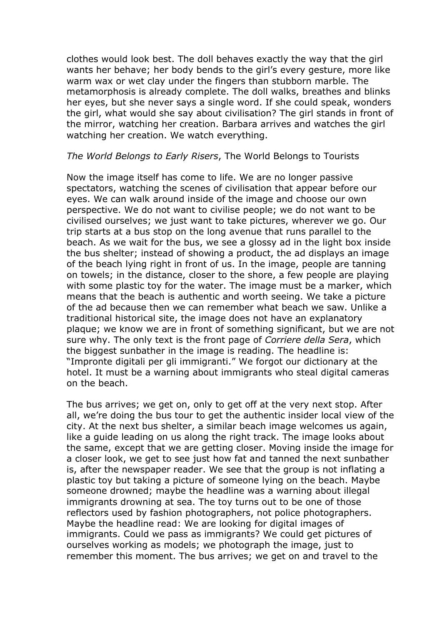clothes would look best. The doll behaves exactly the way that the girl wants her behave; her body bends to the girl's every gesture, more like warm wax or wet clay under the fingers than stubborn marble. The metamorphosis is already complete. The doll walks, breathes and blinks her eyes, but she never says a single word. If she could speak, wonders the girl, what would she say about civilisation? The girl stands in front of the mirror, watching her creation. Barbara arrives and watches the girl watching her creation. We watch everything.

## *The World Belongs to Early Risers*, The World Belongs to Tourists

Now the image itself has come to life. We are no longer passive spectators, watching the scenes of civilisation that appear before our eyes. We can walk around inside of the image and choose our own perspective. We do not want to civilise people; we do not want to be civilised ourselves; we just want to take pictures, wherever we go. Our trip starts at a bus stop on the long avenue that runs parallel to the beach. As we wait for the bus, we see a glossy ad in the light box inside the bus shelter; instead of showing a product, the ad displays an image of the beach lying right in front of us. In the image, people are tanning on towels; in the distance, closer to the shore, a few people are playing with some plastic toy for the water. The image must be a marker, which means that the beach is authentic and worth seeing. We take a picture of the ad because then we can remember what beach we saw. Unlike a traditional historical site, the image does not have an explanatory plaque; we know we are in front of something significant, but we are not sure why. The only text is the front page of *Corriere della Sera*, which the biggest sunbather in the image is reading. The headline is: "Impronte digitali per gli immigranti." We forgot our dictionary at the hotel. It must be a warning about immigrants who steal digital cameras on the beach.

The bus arrives; we get on, only to get off at the very next stop. After all, we're doing the bus tour to get the authentic insider local view of the city. At the next bus shelter, a similar beach image welcomes us again, like a guide leading on us along the right track. The image looks about the same, except that we are getting closer. Moving inside the image for a closer look, we get to see just how fat and tanned the next sunbather is, after the newspaper reader. We see that the group is not inflating a plastic toy but taking a picture of someone lying on the beach. Maybe someone drowned; maybe the headline was a warning about illegal immigrants drowning at sea. The toy turns out to be one of those reflectors used by fashion photographers, not police photographers. Maybe the headline read: We are looking for digital images of immigrants. Could we pass as immigrants? We could get pictures of ourselves working as models; we photograph the image, just to remember this moment. The bus arrives; we get on and travel to the